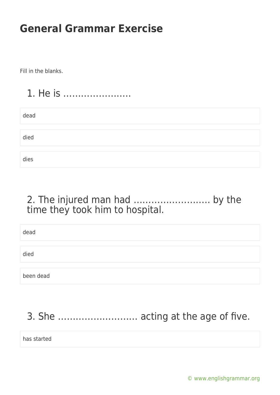Fill in the blanks.

### 1. He is …………………..

| dead |  |  |  |
|------|--|--|--|
|      |  |  |  |
| died |  |  |  |
|      |  |  |  |
| dies |  |  |  |

#### 2. The injured man had …………………….. by the time they took him to hospital.

| dead      |  |
|-----------|--|
|           |  |
| died      |  |
|           |  |
| been dead |  |

### 3. She ……………………… acting at the age of five.

has started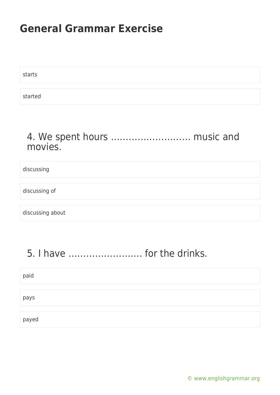starts started

#### 4. We spent hours ……………………… music and movies.

| discussing       |  |
|------------------|--|
|                  |  |
| discussing of    |  |
|                  |  |
| discussing about |  |

### 5. I have ……………………. for the drinks.

| paid  |  |  |  |
|-------|--|--|--|
|       |  |  |  |
| pays  |  |  |  |
|       |  |  |  |
| payed |  |  |  |

[© www.englishgrammar.org](https://www.englishgrammar.org/)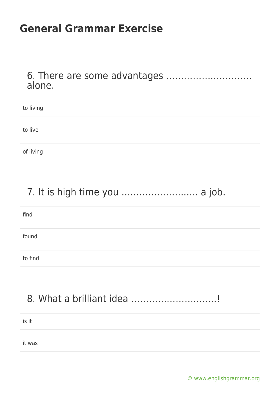6. There are some advantages ……………………….. alone.

| to living |  |
|-----------|--|
|           |  |
| to live   |  |
|           |  |
| of living |  |

### 7. It is high time you …………………….. a job.

| find    |  |
|---------|--|
|         |  |
| found   |  |
|         |  |
| to find |  |

### 8. What a brilliant idea ………………………..!

is it

it was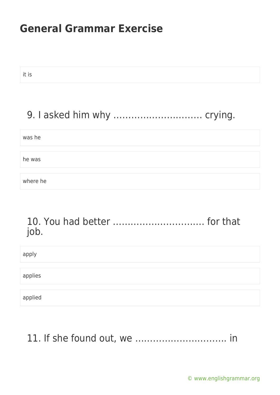it is

### 9. I asked him why ………………………… crying.

| was he   |  |  |  |
|----------|--|--|--|
|          |  |  |  |
| he was   |  |  |  |
|          |  |  |  |
| where he |  |  |  |

#### 10. You had better …………………………. for that job.

| apply   |  |  |
|---------|--|--|
|         |  |  |
| applies |  |  |
|         |  |  |
| applied |  |  |

#### 11. If she found out, we …………………………. in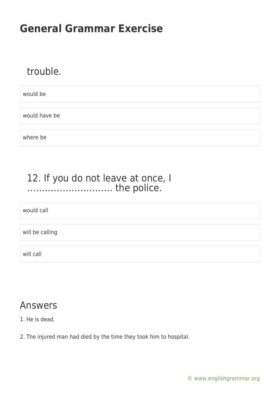#### trouble.

would be

would have be

where be

#### 12. If you do not leave at once, I ……………………….. the police.

would call

will be calling

will call

#### Answers

1. He is dead.

2. The injured man had died by the time they took him to hospital.